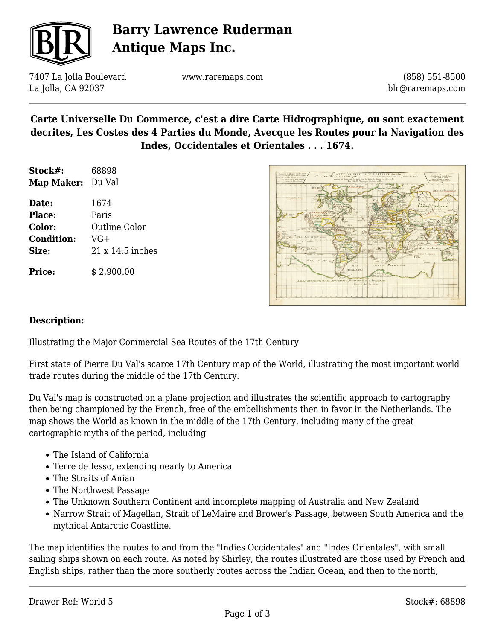

# **Barry Lawrence Ruderman Antique Maps Inc.**

7407 La Jolla Boulevard La Jolla, CA 92037

www.raremaps.com

(858) 551-8500 blr@raremaps.com

### **Carte Universelle Du Commerce, c'est a dire Carte Hidrographique, ou sont exactement decrites, Les Costes des 4 Parties du Monde, Avecque les Routes pour la Navigation des Indes, Occidentales et Orientales . . . 1674.**

| Stock#:    | 68898  |
|------------|--------|
| Map Maker: | Du Val |

**Date:** 1674 **Place:** Paris **Color:** Outline Color **Condition:** VG+ **Size:** 21 x 14.5 inches

**Price:**  $$ 2,900.00$ 



#### **Description:**

Illustrating the Major Commercial Sea Routes of the 17th Century

First state of Pierre Du Val's scarce 17th Century map of the World, illustrating the most important world trade routes during the middle of the 17th Century.

Du Val's map is constructed on a plane projection and illustrates the scientific approach to cartography then being championed by the French, free of the embellishments then in favor in the Netherlands. The map shows the World as known in the middle of the 17th Century, including many of the great cartographic myths of the period, including

- The Island of California
- Terre de Iesso, extending nearly to America
- The Straits of Anian
- The Northwest Passage
- The Unknown Southern Continent and incomplete mapping of Australia and New Zealand
- Narrow Strait of Magellan, Strait of LeMaire and Brower's Passage, between South America and the mythical Antarctic Coastline.

The map identifies the routes to and from the "Indies Occidentales" and "Indes Orientales", with small sailing ships shown on each route. As noted by Shirley, the routes illustrated are those used by French and English ships, rather than the more southerly routes across the Indian Ocean, and then to the north,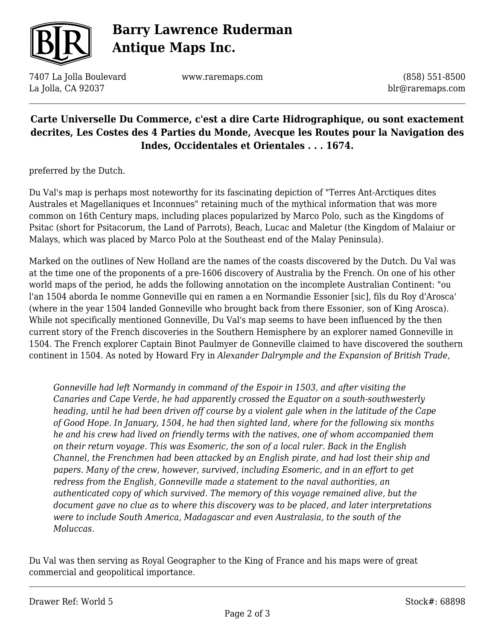

# **Barry Lawrence Ruderman Antique Maps Inc.**

7407 La Jolla Boulevard La Jolla, CA 92037

www.raremaps.com

(858) 551-8500 blr@raremaps.com

### **Carte Universelle Du Commerce, c'est a dire Carte Hidrographique, ou sont exactement decrites, Les Costes des 4 Parties du Monde, Avecque les Routes pour la Navigation des Indes, Occidentales et Orientales . . . 1674.**

preferred by the Dutch.

Du Val's map is perhaps most noteworthy for its fascinating depiction of "Terres Ant-Arctiques dites Australes et Magellaniques et Inconnues" retaining much of the mythical information that was more common on 16th Century maps, including places popularized by Marco Polo, such as the Kingdoms of Psitac (short for Psitacorum, the Land of Parrots), Beach, Lucac and Maletur (the Kingdom of Malaiur or Malays, which was placed by Marco Polo at the Southeast end of the Malay Peninsula).

Marked on the outlines of New Holland are the names of the coasts discovered by the Dutch. Du Val was at the time one of the proponents of a pre-1606 discovery of Australia by the French. On one of his other world maps of the period, he adds the following annotation on the incomplete Australian Continent: "ou l'an 1504 aborda Ie nomme GonneviIle qui en ramen a en Normandie Essonier [sic], fils du Roy d'Arosca' (where in the year 1504 landed Gonneville who brought back from there Essonier, son of King Arosca). While not specifically mentioned Gonneville, Du Val's map seems to have been influenced by the then current story of the French discoveries in the Southern Hemisphere by an explorer named Gonneville in 1504. The French explorer Captain Binot Paulmyer de Gonneville claimed to have discovered the southern continent in 1504. As noted by Howard Fry in *Alexander Dalrymple and the Expansion of British Trade*,

*Gonneville had left Normandy in command of the Espoir in 1503, and after visiting the Canaries and Cape Verde, he had apparently crossed the Equator on a south-southwesterly heading, until he had been driven off course by a violent gale when in the latitude of the Cape of Good Hope. In January, 1504, he had then sighted land, where for the following six months he and his crew had lived on friendly terms with the natives, one of whom accompanied them on their return voyage. This was Esomeric, the son of a local ruler. Back in the English Channel, the Frenchmen had been attacked by an English pirate, and had lost their ship and papers. Many of the crew, however, survived, including Esomeric, and in an effort to get redress from the English, Gonneville made a statement to the naval authorities, an authenticated copy of which survived. The memory of this voyage remained alive, but the document gave no clue as to where this discovery was to be placed, and later interpretations were to include South America, Madagascar and even Australasia, to the south of the Moluccas.*

Du Val was then serving as Royal Geographer to the King of France and his maps were of great commercial and geopolitical importance.